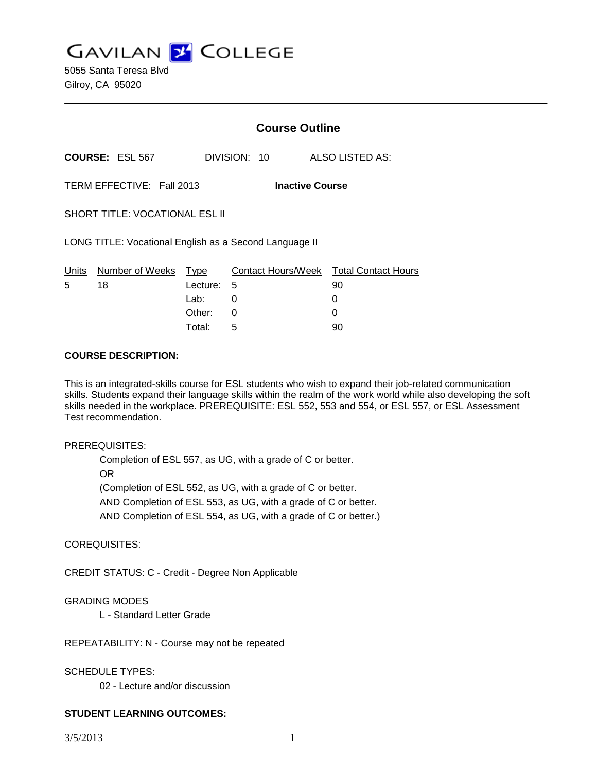**GAVILAN J COLLEGE** 

5055 Santa Teresa Blvd Gilroy, CA 95020

|                                                        |                        | <b>Course Outline</b> |              |                                        |
|--------------------------------------------------------|------------------------|-----------------------|--------------|----------------------------------------|
|                                                        | <b>COURSE: ESL 567</b> |                       | DIVISION: 10 | ALSO LISTED AS:                        |
| TERM EFFECTIVE: Fall 2013<br><b>Inactive Course</b>    |                        |                       |              |                                        |
| <b>SHORT TITLE: VOCATIONAL ESL II</b>                  |                        |                       |              |                                        |
| LONG TITLE: Vocational English as a Second Language II |                        |                       |              |                                        |
| Units                                                  | Number of Weeks        | Type                  |              | Contact Hours/Week Total Contact Hours |
| 5                                                      | 18                     | Lecture: 5            |              | 90                                     |
|                                                        |                        | Lab: __               | 0            | 0                                      |
|                                                        |                        | Other:                | 0            | 0                                      |
|                                                        |                        | Total:                | 5            | 90                                     |

#### **COURSE DESCRIPTION:**

This is an integrated-skills course for ESL students who wish to expand their job-related communication skills. Students expand their language skills within the realm of the work world while also developing the soft skills needed in the workplace. PREREQUISITE: ESL 552, 553 and 554, or ESL 557, or ESL Assessment Test recommendation.

#### PREREQUISITES:

Completion of ESL 557, as UG, with a grade of C or better. OR (Completion of ESL 552, as UG, with a grade of C or better. AND Completion of ESL 553, as UG, with a grade of C or better. AND Completion of ESL 554, as UG, with a grade of C or better.)

COREQUISITES:

CREDIT STATUS: C - Credit - Degree Non Applicable

### GRADING MODES

L - Standard Letter Grade

REPEATABILITY: N - Course may not be repeated

SCHEDULE TYPES:

02 - Lecture and/or discussion

# **STUDENT LEARNING OUTCOMES:**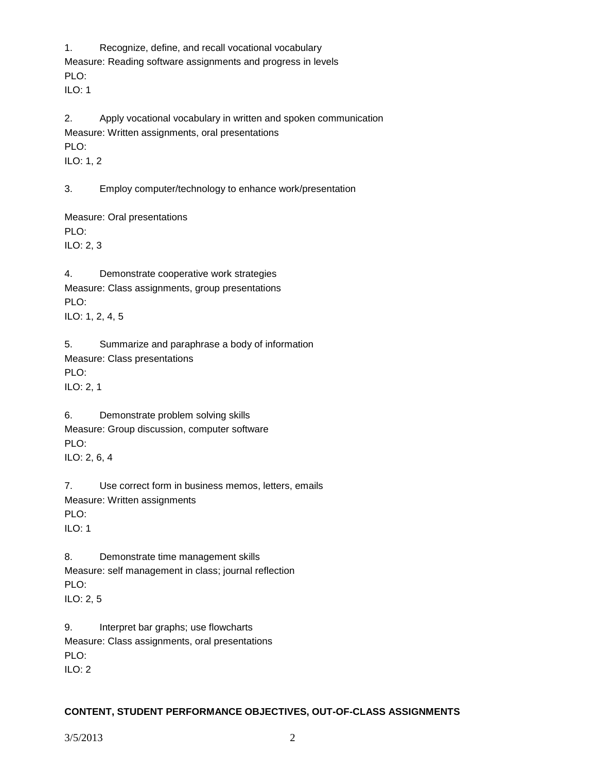1. Recognize, define, and recall vocational vocabulary Measure: Reading software assignments and progress in levels PLO: ILO: 1

2. Apply vocational vocabulary in written and spoken communication Measure: Written assignments, oral presentations PLO: ILO: 1, 2

3. Employ computer/technology to enhance work/presentation

Measure: Oral presentations PLO: ILO: 2, 3

4. Demonstrate cooperative work strategies Measure: Class assignments, group presentations PLO: ILO: 1, 2, 4, 5

5. Summarize and paraphrase a body of information Measure: Class presentations PLO: ILO: 2, 1

6. Demonstrate problem solving skills Measure: Group discussion, computer software PLO: ILO: 2, 6, 4

7. Use correct form in business memos, letters, emails Measure: Written assignments PLO:  $II$  O: 1

8. Demonstrate time management skills Measure: self management in class; journal reflection PLO: ILO: 2, 5

9. Interpret bar graphs; use flowcharts Measure: Class assignments, oral presentations PLO: ILO: 2

# **CONTENT, STUDENT PERFORMANCE OBJECTIVES, OUT-OF-CLASS ASSIGNMENTS**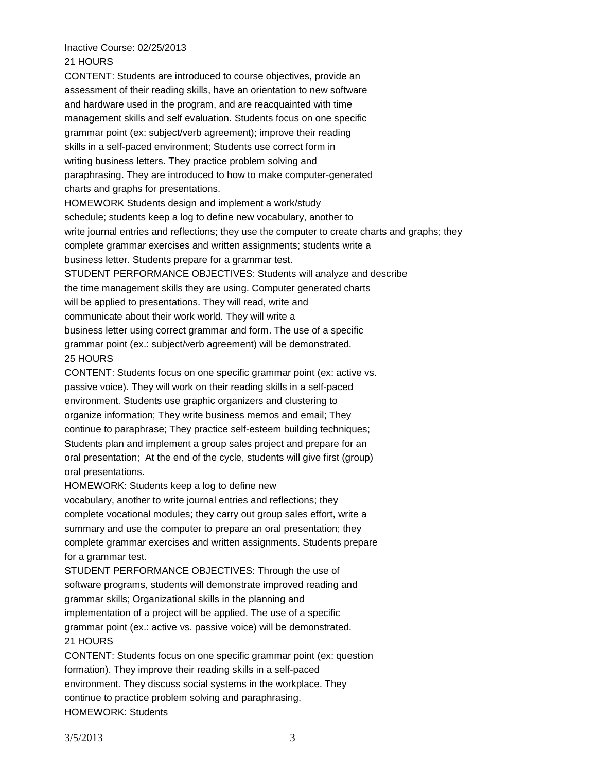#### Inactive Course: 02/25/2013 21 HOURS

CONTENT: Students are introduced to course objectives, provide an assessment of their reading skills, have an orientation to new software and hardware used in the program, and are reacquainted with time management skills and self evaluation. Students focus on one specific grammar point (ex: subject/verb agreement); improve their reading skills in a self-paced environment; Students use correct form in writing business letters. They practice problem solving and paraphrasing. They are introduced to how to make computer-generated charts and graphs for presentations. HOMEWORK Students design and implement a work/study schedule; students keep a log to define new vocabulary, another to write journal entries and reflections; they use the computer to create charts and graphs; they complete grammar exercises and written assignments; students write a business letter. Students prepare for a grammar test. STUDENT PERFORMANCE OBJECTIVES: Students will analyze and describe the time management skills they are using. Computer generated charts will be applied to presentations. They will read, write and communicate about their work world. They will write a business letter using correct grammar and form. The use of a specific grammar point (ex.: subject/verb agreement) will be demonstrated. 25 HOURS

CONTENT: Students focus on one specific grammar point (ex: active vs. passive voice). They will work on their reading skills in a self-paced environment. Students use graphic organizers and clustering to organize information; They write business memos and email; They continue to paraphrase; They practice self-esteem building techniques; Students plan and implement a group sales project and prepare for an oral presentation; At the end of the cycle, students will give first (group) oral presentations.

HOMEWORK: Students keep a log to define new

vocabulary, another to write journal entries and reflections; they complete vocational modules; they carry out group sales effort, write a summary and use the computer to prepare an oral presentation; they complete grammar exercises and written assignments. Students prepare for a grammar test.

STUDENT PERFORMANCE OBJECTIVES: Through the use of software programs, students will demonstrate improved reading and grammar skills; Organizational skills in the planning and implementation of a project will be applied. The use of a specific grammar point (ex.: active vs. passive voice) will be demonstrated. 21 HOURS

CONTENT: Students focus on one specific grammar point (ex: question formation). They improve their reading skills in a self-paced environment. They discuss social systems in the workplace. They continue to practice problem solving and paraphrasing. HOMEWORK: Students

3/5/2013 3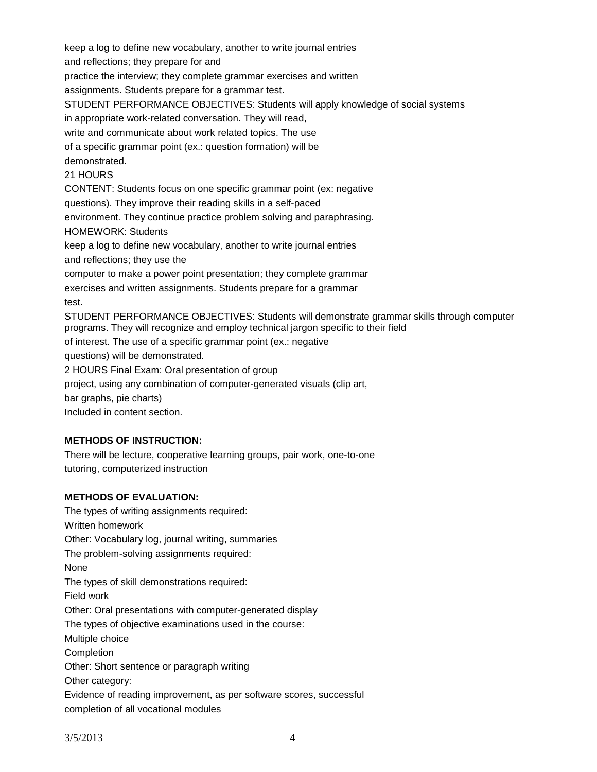keep a log to define new vocabulary, another to write journal entries and reflections; they prepare for and practice the interview; they complete grammar exercises and written assignments. Students prepare for a grammar test. STUDENT PERFORMANCE OBJECTIVES: Students will apply knowledge of social systems in appropriate work-related conversation. They will read, write and communicate about work related topics. The use of a specific grammar point (ex.: question formation) will be demonstrated. 21 HOURS CONTENT: Students focus on one specific grammar point (ex: negative questions). They improve their reading skills in a self-paced environment. They continue practice problem solving and paraphrasing. HOMEWORK: Students keep a log to define new vocabulary, another to write journal entries and reflections; they use the computer to make a power point presentation; they complete grammar exercises and written assignments. Students prepare for a grammar test. STUDENT PERFORMANCE OBJECTIVES: Students will demonstrate grammar skills through computer programs. They will recognize and employ technical jargon specific to their field of interest. The use of a specific grammar point (ex.: negative questions) will be demonstrated. 2 HOURS Final Exam: Oral presentation of group project, using any combination of computer-generated visuals (clip art, bar graphs, pie charts) Included in content section.

### **METHODS OF INSTRUCTION:**

There will be lecture, cooperative learning groups, pair work, one-to-one tutoring, computerized instruction

# **METHODS OF EVALUATION:**

The types of writing assignments required: Written homework Other: Vocabulary log, journal writing, summaries The problem-solving assignments required: None The types of skill demonstrations required: Field work Other: Oral presentations with computer-generated display The types of objective examinations used in the course: Multiple choice Completion Other: Short sentence or paragraph writing Other category: Evidence of reading improvement, as per software scores, successful completion of all vocational modules

3/5/2013 4